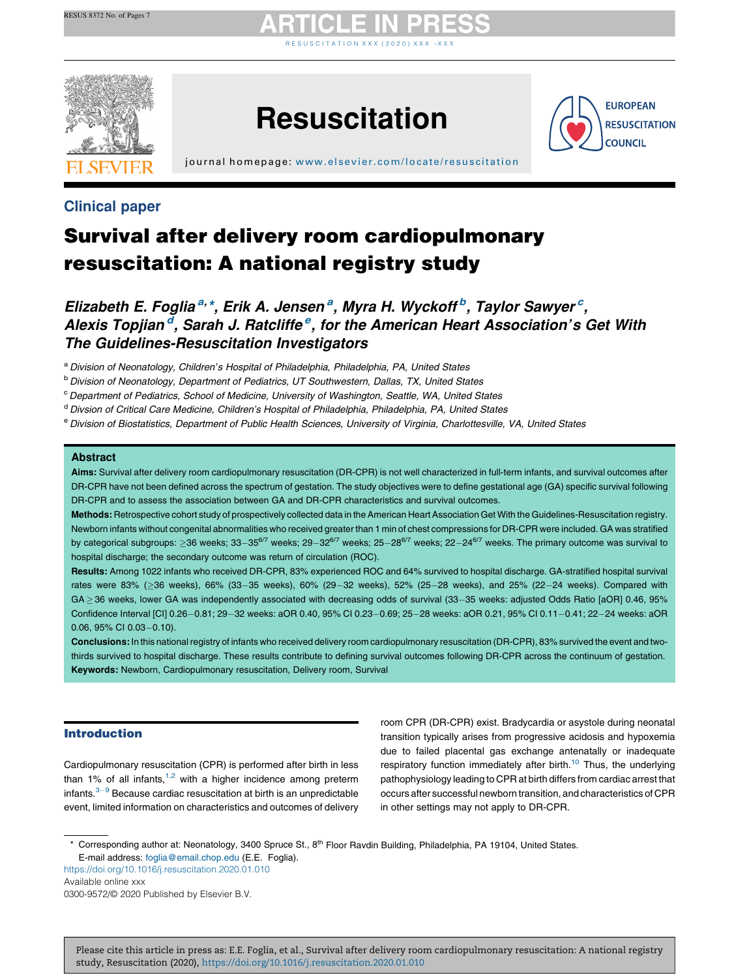# R E S U S C I T A T I [O](https://doi.org/10.1016/j.resuscitation.2020.01.010) N X X X ( 2 0 2 0 ) X X X  $-$  X X X



## **Resuscitation**



j ournal home page: [www.elsevier.com/locate/resus](www.elsevier.com/locate/resuscitation) citation

### Clinical paper

## Survival after delivery room cardiopulmonary resuscitation: A national registry study

Elizabeth E. Foglia<sup>a, \*</sup>, Erik A. Jensen<sup>a</sup>, Myra H. Wyckoff<sup>b</sup>, Taylor Sawyer<sup>c</sup>, Alexis Topjian<sup>d</sup>, Sarah J. Ratcliffe<sup>e</sup>, for the American Heart Association's Get With The Guidelines-Resuscitation Investigators

a Division of Neonatology, Children's Hospital of Philadelphia, Philadelphia, PA, United States

<sup>b</sup> Division of Neonatology, Department of Pediatrics, UT Southwestern, Dallas, TX, United States

<sup>c</sup> Department of Pediatrics, School of Medicine, University of Washington, Seattle, WA, United States

d Divsion of Critical Care Medicine, Children's Hospital of Philadelphia, Philadelphia, PA, United States

e Division of Biostatistics, Department of Public Health Sciences, University of Virginia, Charlottesville, VA, United States

### Abstract

Aims: Survival after delivery room cardiopulmonary resuscitation (DR-CPR) is not well characterized in full-term infants, and survival outcomes after DR-CPR have not been defined across the spectrum of gestation. The study objectives were to define gestational age (GA) specific survival following DR-CPR and to assess the association between GA and DR-CPR characteristics and survival outcomes.

Methods: Retrospective cohort study of prospectively collected data in the American Heart Association Get With the Guidelines-Resuscitation registry. Newborn infants without congenital abnormalities who received greater than 1 min of chest compressions for DR-CPR were included. GA was stratified by categorical subgroups:  $\geq$ 36 weeks; 33-35<sup>6/7</sup> weeks; 29-32<sup>6/7</sup> weeks; 25-28<sup>6/7</sup> weeks; 22-24<sup>6/7</sup> weeks. The primary outcome was survival to hospital discharge; the secondary outcome was return of circulation (ROC).

Results: Among 1022 infants who received DR-CPR, 83% experienced ROC and 64% survived to hospital discharge. GA-stratified hospital survival rates were 83% (>36 weeks), 66% (33-35 weeks), 60% (29-32 weeks), 52% (25-28 weeks), and 25% (22-24 weeks). Compared with GA > 36 weeks, lower GA was independently associated with decreasing odds of survival (33-35 weeks: adjusted Odds Ratio [aOR] 0.46, 95% Confidence Interval [CI] 0.26-0.81; 29-32 weeks: aOR 0.40, 95% CI 0.23-0.69; 25-28 weeks: aOR 0.21, 95% CI 0.11-0.41; 22-24 weeks: aOR  $0.06, 95\%$  CI  $0.03 - 0.10$ ).

Conclusions: In this national registry of infants who received delivery room cardiopulmonary resuscitation (DR-CPR), 83% survived the event and twothirds survived to hospital discharge. These results contribute to defining survival outcomes following DR-CPR across the continuum of gestation. Keywords: Newborn, Cardiopulmonary resuscitation, Delivery room, Survival

### Introduction

Cardiopulmonary resuscitation (CPR) is performed after birth in less than 1% of all infants,  $1,2$  with a higher [incidence](#page-6-0) among preterm infants. $3-9$  Because cardiac resuscitation at birth is an [unpredictable](#page-6-0) event, limited information on characteristics and outcomes of delivery

room CPR (DR-CPR) exist. Bradycardia or asystole during neonatal transition typically arises from progressive acidosis and hypoxemia due to failed placental gas exchange antenatally or inadequate respiratory function immediately after birth.<sup>[10](#page-6-0)</sup> Thus, the underlying pathophysiology leading to CPR at birth differs from cardiac arrest that occurs after successful newborn transition, and characteristics of CPR in other settings may not apply to DR-CPR.

\* Corresponding author at: Neonatology, 3400 Spruce St., 8th Floor Ravdin Building, Philadelphia, PA 19104, United States. E-mail address: [foglia@email.chop.edu](mailto:foglia@email.chop.edu) (E.E. Foglia).

<https://doi.org/10.1016/j.resuscitation.2020.01.010> Available online xxx 0300-9572/© 2020 Published by Elsevier B.V.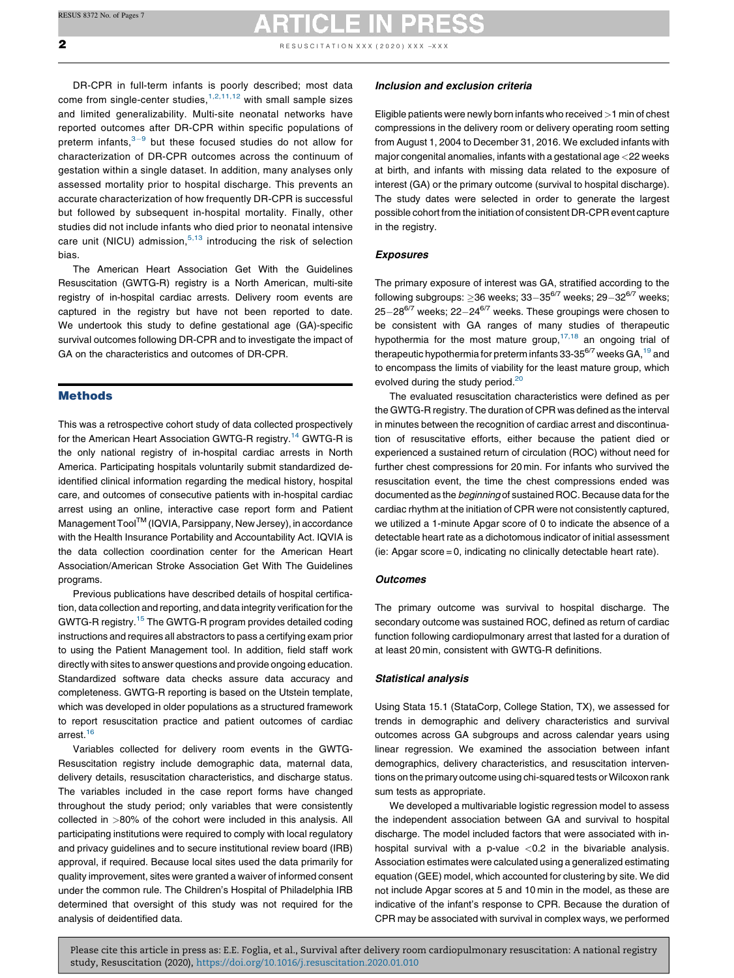**2** RESUSCITATION XXX (2020) XXX -XXX

DR-CPR in full-term infants is poorly described; most data come from single-center studies,  $1,2,11,12$  with small [sample](#page-6-0) sizes and limited generalizability. Multi-site neonatal networks have reported outcomes after DR-CPR within specific populations of preterm infants, $3-9$  but these [focused](#page-6-0) studies do not allow for characterization of DR-CPR outcomes across the continuum of gestation within a single dataset. In addition, many analyses only assessed mortality prior to hospital discharge. This prevents an accurate characterization of how frequently DR-CPR is successful but followed by subsequent in-hospital mortality. Finally, other studies did not include infants who died prior to neonatal intensive care unit (NICU) admission,  $5,13$  [introducing](#page-6-0) the risk of selection bias.

The American Heart Association Get With the Guidelines Resuscitation (GWTG-R) registry is a North American, multi-site registry of in-hospital cardiac arrests. Delivery room events are captured in the registry but have not been reported to date. We undertook this study to define gestational age (GA)-specific survival outcomes following DR-CPR and to investigate the impact of GA on the characteristics and outcomes of DR-CPR.

### Methods

This was a retrospective cohort study of data collected prospectively for the American Heart Association GWTG-R registry.<sup>[14](#page-6-0)</sup> GWTG-R is the only national registry of in-hospital cardiac arrests in North America. Participating hospitals voluntarily submit standardized deidentified clinical information regarding the medical history, hospital care, and outcomes of consecutive patients with in-hospital cardiac arrest using an online, interactive case report form and Patient Management Tool<sup>TM</sup> (IQVIA, Parsippany, New Jersey), in accordance with the Health Insurance Portability and Accountability Act. IQVIA is the data collection coordination center for the American Heart Association/American Stroke Association Get With The Guidelines programs.

Previous publications have described details of hospital certification, data collection and reporting, and data integrity verification for the GWTG-R registry.[15](#page-6-0) The GWTG-R program provides detailed coding instructions and requires all abstractors to pass a certifying exam prior to using the Patient Management tool. In addition, field staff work directly with sites to answer questions and provide ongoing education. Standardized software data checks assure data accuracy and completeness. GWTG-R reporting is based on the Utstein template, which was developed in older populations as a structured framework to report resuscitation practice and patient outcomes of cardiac arrest. $16$ 

Variables collected for delivery room events in the GWTG-Resuscitation registry include demographic data, maternal data, delivery details, resuscitation characteristics, and discharge status. The variables included in the case report forms have changed throughout the study period; only variables that were consistently collected in >80% of the cohort were included in this analysis. All participating institutions were required to comply with local regulatory and privacy guidelines and to secure institutional review board (IRB) approval, if required. Because local sites used the data primarily for quality improvement, sites were granted a waiver of informed consent under the common rule. The Children's Hospital of Philadelphia IRB determined that oversight of this study was not required for the analysis of deidentified data.

### Inclusion and exclusion criteria

Eligible patients were newly born infants who received >1 min of chest compressions in the delivery room or delivery operating room setting from August 1, 2004 to December 31, 2016. We excluded infants with major congenital anomalies, infants with a gestational age <22 weeks at birth, and infants with missing data related to the exposure of interest (GA) or the primary outcome (survival to hospital discharge). The study dates were selected in order to generate the largest possible cohort from the initiation of consistent DR-CPR event capture in the registry.

### Exposures

The primary exposure of interest was GA, stratified according to the following subgroups:  $>36$  weeks;  $33-35^{6/7}$  weeks;  $29-32^{6/7}$  weeks;  $25-28^{6/7}$  weeks;  $22-24^{6/7}$  weeks. These groupings were chosen to be consistent with GA ranges of many studies of therapeutic hypothermia for the most mature group, $17,18$  an [ongoing](#page-6-0) trial of therapeutic hypothermia for preterm infants 33-35 $^{6/7}$  weeks GA,  $^{19}$  $^{19}$  $^{19}$  and to encompass the limits of viability for the least mature group, which evolved during the study period.<sup>[20](#page-6-0)</sup>

The evaluated resuscitation characteristics were defined as per the GWTG-R registry. The duration of CPR was defined as the interval in minutes between the recognition of cardiac arrest and discontinuation of resuscitative efforts, either because the patient died or experienced a sustained return of circulation (ROC) without need for further chest compressions for 20 min. For infants who survived the resuscitation event, the time the chest compressions ended was documented as the beginning of sustained ROC. Because data for the cardiac rhythm at the initiation of CPR were not consistently captured, we utilized a 1-minute Apgar score of 0 to indicate the absence of a detectable heart rate as a dichotomous indicator of initial assessment (ie: Apgar score = 0, indicating no clinically detectable heart rate).

### **Outcomes**

The primary outcome was survival to hospital discharge. The secondary outcome was sustained ROC, defined as return of cardiac function following cardiopulmonary arrest that lasted for a duration of at least 20 min, consistent with GWTG-R definitions.

### Statistical analysis

Using Stata 15.1 (StataCorp, College Station, TX), we assessed for trends in demographic and delivery characteristics and survival outcomes across GA subgroups and across calendar years using linear regression. We examined the association between infant demographics, delivery characteristics, and resuscitation interventions on the primary outcome using chi-squared tests or Wilcoxon rank sum tests as appropriate.

We developed a multivariable logistic regression model to assess the independent association between GA and survival to hospital discharge. The model included factors that were associated with inhospital survival with a p-value  $< 0.2$  in the bivariable analysis. Association estimates were calculated using a generalized estimating equation (GEE) model, which accounted for clustering by site. We did not include Apgar scores at 5 and 10 min in the model, as these are indicative of the infant's response to CPR. Because the duration of CPR may be associated with survival in complex ways, we performed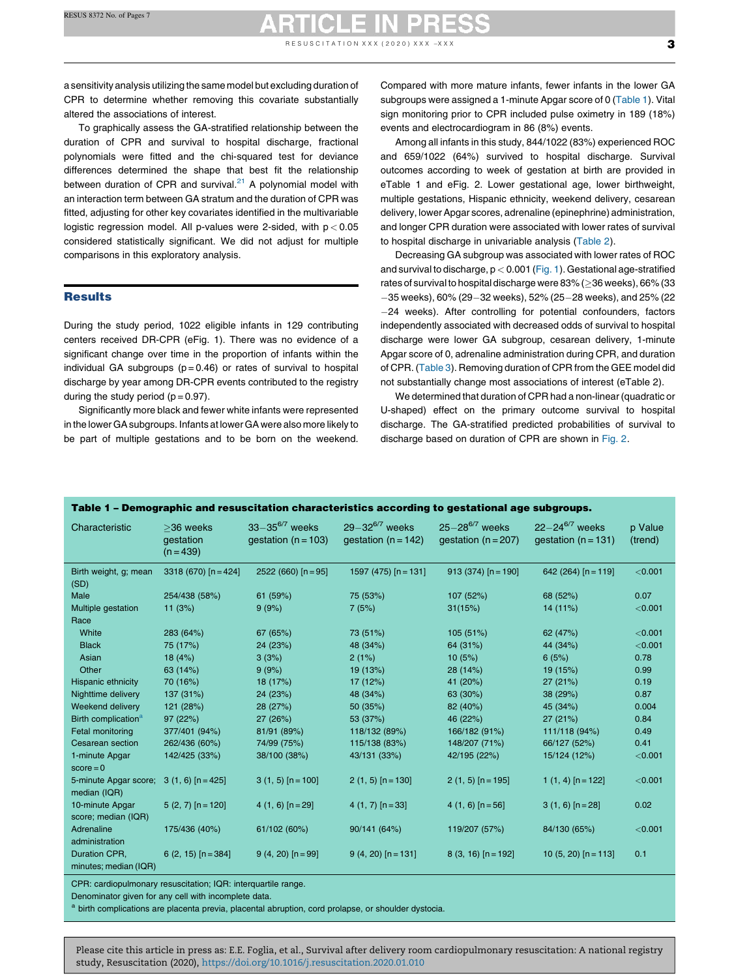# RESUSCITATION XXX (2020) XXX -XXX  $\sim$

a sensitivity analysis utilizing the same model but excluding duration of CPR to determine whether removing this covariate substantially altered the associations of interest.

To graphically assess the GA-stratified relationship between the duration of CPR and survival to hospital discharge, fractional polynomials were fitted and the chi-squared test for deviance differences determined the shape that best fit the relationship between duration of CPR and survival. $21$  A polynomial model with an interaction term between GA stratum and the duration of CPR was fitted, adjusting for other key covariates identified in the multivariable logistic regression model. All p-values were 2-sided, with  $p < 0.05$ considered statistically significant. We did not adjust for multiple comparisons in this exploratory analysis.

### **Results**

During the study period, 1022 eligible infants in 129 contributing centers received DR-CPR (eFig. 1). There was no evidence of a significant change over time in the proportion of infants within the individual GA subgroups  $(p = 0.46)$  or rates of survival to hospital discharge by year among DR-CPR events contributed to the registry during the study period  $(p = 0.97)$ .

Significantly more black and fewer white infants were represented in the lower GA subgroups. Infants at lower GA were also more likely to be part of multiple gestations and to be born on the weekend. Compared with more mature infants, fewer infants in the lower GA subgroups were assigned a 1-minute Apgar score of 0 (Table 1). Vital sign monitoring prior to CPR included pulse oximetry in 189 (18%) events and electrocardiogram in 86 (8%) events.

Among all infants in this study, 844/1022 (83%) experienced ROC and 659/1022 (64%) survived to hospital discharge. Survival outcomes according to week of gestation at birth are provided in eTable 1 and eFig. 2. Lower gestational age, lower birthweight, multiple gestations, Hispanic ethnicity, weekend delivery, cesarean delivery, lowerApgar scores, adrenaline (epinephrine) administration, and longer CPR duration were associated with lower rates of survival to hospital discharge in univariable analysis [\(Table](#page-3-0) 2).

Decreasing GA subgroup was associated with lower rates of ROC and survival to discharge,  $p < 0.001$  ([Fig.](#page-3-0) 1). Gestational age-stratified rates of survival to hospital discharge were 83% (> 36 weeks), 66% (33  $-35$  weeks), 60% (29 $-32$  weeks), 52% (25 $-28$  weeks), and 25% (22 24 weeks). After controlling for potential confounders, factors independently associated with decreased odds of survival to hospital discharge were lower GA subgroup, cesarean delivery, 1-minute Apgar score of 0, adrenaline administration during CPR, and duration of CPR. [\(Table](#page-4-0) 3). Removing duration of CPR from the GEE model did not substantially change most associations of interest (eTable 2).

We determined that duration of CPR had a non-linear (quadratic or U-shaped) effect on the primary outcome survival to hospital discharge. The GA-stratified predicted probabilities of survival to discharge based on duration of CPR are shown in [Fig.](#page-4-0) 2.

| Characteristic                                            | $>$ 36 weeks<br>gestation<br>$(n = 439)$ | $33 - 35^{6/7}$ weeks<br>gestation ( $n = 103$ ) | $29 - 32^{6/7}$ weeks<br>gestation $(n = 142)$ | $25 - 28^{6/7}$ weeks<br>gestation $(n = 207)$ | $22 - 24^{6/7}$ weeks<br>gestation ( $n = 131$ ) | p Value<br>(trend) |
|-----------------------------------------------------------|------------------------------------------|--------------------------------------------------|------------------------------------------------|------------------------------------------------|--------------------------------------------------|--------------------|
| Birth weight, g; mean<br>(SD)                             | $3318(670)$ [n = 424]                    | $2522(660)$ [n = 95]                             | 1597 (475) $[n = 131]$                         | $913(374)$ [n = 190]                           | 642 (264) $[n = 119]$                            | < 0.001            |
| Male                                                      | 254/438 (58%)                            | 61 (59%)                                         | 75 (53%)                                       | 107 (52%)                                      | 68 (52%)                                         | 0.07               |
| Multiple gestation<br>Race                                | 11(3%)                                   | 9(9%)                                            | 7(5%)                                          | 31(15%)                                        | 14 (11%)                                         | < 0.001            |
| White                                                     | 283 (64%)                                | 67 (65%)                                         | 73 (51%)                                       | 105 (51%)                                      | 62 (47%)                                         | < 0.001            |
| <b>Black</b>                                              | 75 (17%)                                 | 24 (23%)                                         | 48 (34%)                                       | 64 (31%)                                       | 44 (34%)                                         | < 0.001            |
| Asian                                                     | 18(4%)                                   | 3(3%)                                            | 2(1%)                                          | 10(5%)                                         | 6(5%)                                            | 0.78               |
| Other                                                     | 63 (14%)                                 | 9(9%)                                            | 19 (13%)                                       | 28 (14%)                                       | 19 (15%)                                         | 0.99               |
| Hispanic ethnicity                                        | 70 (16%)                                 | 18 (17%)                                         | 17 (12%)                                       | 41 (20%)                                       | 27(21%)                                          | 0.19               |
| Nighttime delivery                                        | 137 (31%)                                | 24 (23%)                                         | 48 (34%)                                       | 63 (30%)                                       | 38 (29%)                                         | 0.87               |
| Weekend delivery                                          | 121 (28%)                                | 28 (27%)                                         | 50 (35%)                                       | 82 (40%)                                       | 45 (34%)                                         | 0.004              |
| Birth complication <sup>a</sup>                           | 97 (22%)                                 | 27 (26%)                                         | 53 (37%)                                       | 46 (22%)                                       | 27 (21%)                                         | 0.84               |
| Fetal monitoring                                          | 377/401 (94%)                            | 81/91 (89%)                                      | 118/132 (89%)                                  | 166/182 (91%)                                  | 111/118 (94%)                                    | 0.49               |
| Cesarean section                                          | 262/436 (60%)                            | 74/99 (75%)                                      | 115/138 (83%)                                  | 148/207 (71%)                                  | 66/127 (52%)                                     | 0.41               |
| 1-minute Apgar<br>$score = 0$                             | 142/425 (33%)                            | 38/100 (38%)                                     | 43/131 (33%)                                   | 42/195 (22%)                                   | 15/124 (12%)                                     | $<$ 0.001          |
| 5-minute Apgar score; $3(1, 6)$ [n = 425]<br>median (IQR) |                                          | $3(1, 5)$ [n = 100]                              | $2(1, 5)$ [n = 130]                            | $2(1, 5)$ [n = 195]                            | 1 $(1, 4)$ [n = 122]                             | < 0.001            |
| 10-minute Apgar<br>score; median (IQR)                    | $5(2, 7)$ [n = 120]                      | $4(1, 6)$ [n = 29]                               | $4(1, 7)$ [n = 33]                             | $4(1, 6)$ [n = 56]                             | $3(1, 6)$ [n = 28]                               | 0.02               |
| Adrenaline<br>administration                              | 175/436 (40%)                            | 61/102 (60%)                                     | 90/141 (64%)                                   | 119/207 (57%)                                  | 84/130 (65%)                                     | < 0.001            |
| Duration CPR.<br>minutes; median (IQR)                    | $6(2, 15)$ [n = 384]                     | $9(4, 20)$ [n = 99]                              | $9(4, 20)$ [n = 131]                           | $8(3, 16)$ [n = 192]                           | 10 (5, 20) $[n = 113]$                           | 0.1                |

Table 1 – Demographic and resuscitation characteristics according to gestational age subgroups.

CPR: cardiopulmonary resuscitation; IQR: interquartile range.

Denominator given for any cell with incomplete data.

<sup>a</sup> birth complications are placenta previa, placental abruption, cord prolapse, or shoulder dystocia.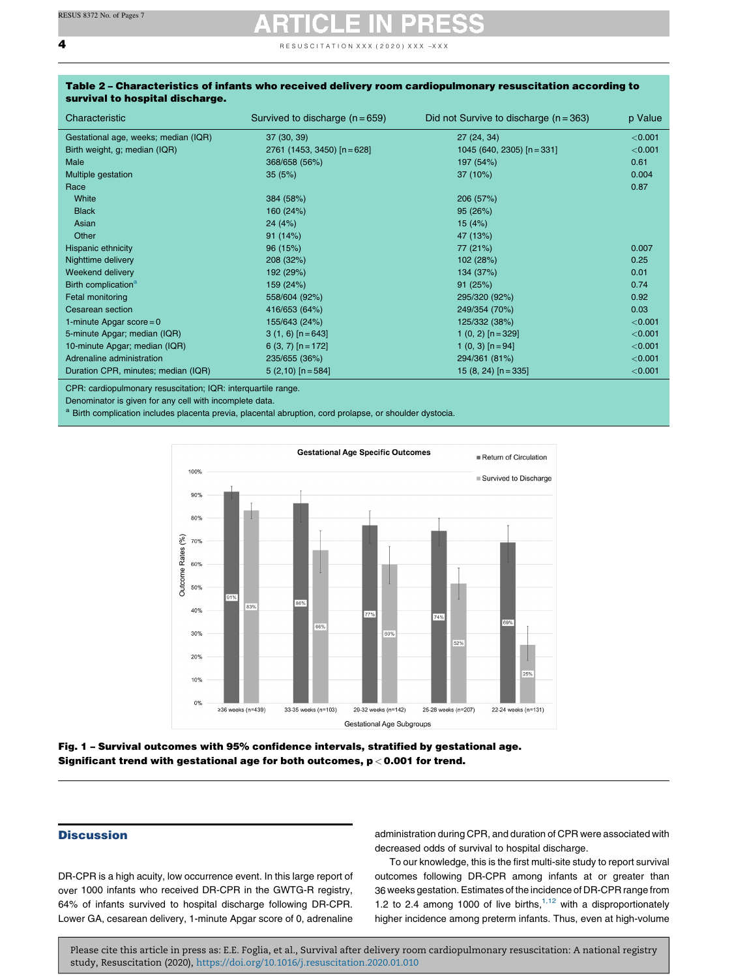<span id="page-3-0"></span> $\overline{\mathbf{4}}$  **4** RESUSCITATION XXX (2020) XXX

| Characteristic                       | Survived to discharge $(n = 659)$ | Did not Survive to discharge $(n = 363)$ | p Value   |
|--------------------------------------|-----------------------------------|------------------------------------------|-----------|
| Gestational age, weeks; median (IQR) | 37 (30, 39)                       | 27 (24, 34)                              | < 0.001   |
| Birth weight, g; median (IQR)        | $2761$ (1453, 3450) $[n = 628]$   | 1045 (640, 2305) $[n = 331]$             | < 0.001   |
| Male                                 | 368/658 (56%)                     | 197 (54%)                                | 0.61      |
| Multiple gestation                   | 35(5%)                            | 37 (10%)                                 | 0.004     |
| Race                                 |                                   |                                          | 0.87      |
| White                                | 384 (58%)                         | 206 (57%)                                |           |
| <b>Black</b>                         | 160 (24%)                         | 95(26%)                                  |           |
| Asian                                | 24(4%)                            | 15(4%)                                   |           |
| Other                                | 91(14%)                           | 47 (13%)                                 |           |
| Hispanic ethnicity                   | 96 (15%)                          | 77 (21%)                                 | 0.007     |
| Nighttime delivery                   | 208 (32%)                         | 102 (28%)                                | 0.25      |
| Weekend delivery                     | 192 (29%)                         | 134 (37%)                                | 0.01      |
| Birth complication <sup>a</sup>      | 159 (24%)                         | 91(25%)                                  | 0.74      |
| Fetal monitoring                     | 558/604 (92%)                     | 295/320 (92%)                            | 0.92      |
| Cesarean section                     | 416/653 (64%)                     | 249/354 (70%)                            | 0.03      |
| 1-minute Apgar score = $0$           | 155/643 (24%)                     | 125/332 (38%)                            | < 0.001   |
| 5-minute Apgar; median (IQR)         | $3(1, 6)$ [n = 643]               | $1(0, 2)$ [n = 329]                      | < 0.001   |
| 10-minute Apgar; median (IQR)        | $6(3, 7)$ [n = 172]               | $1(0, 3)$ [n = 94]                       | < 0.001   |
| Adrenaline administration            | 235/655 (36%)                     | 294/361 (81%)                            | < 0.001   |
| Duration CPR, minutes; median (IQR)  | $5(2,10)$ [n = 584]               | 15 (8, 24) $[n = 335]$                   | $<$ 0.001 |

### Table 2 – Characteristics of infants who received delivery room cardiopulmonary resuscitation according to survival to hospital discharge.

CPR: cardiopulmonary resuscitation; IQR: interquartile range.

Denominator is given for any cell with incomplete data.

a Birth complication includes placenta previa, placental abruption, cord prolapse, or shoulder dystocia.



### Fig. 1 – Survival outcomes with 95% confidence intervals, stratified by gestational age. Significant trend with gestational age for both outcomes, p < 0.001 for trend.

### **Discussion**

DR-CPR is a high acuity, low occurrence event. In this large report of over 1000 infants who received DR-CPR in the GWTG-R registry, 64% of infants survived to hospital discharge following DR-CPR. Lower GA, cesarean delivery, 1-minute Apgar score of 0, adrenaline administration during CPR, and duration of CPR were associated with decreased odds of survival to hospital discharge.

To our knowledge, this is the first multi-site study to report survival outcomes following DR-CPR among infants at or greater than 36 weeks gestation.Estimates of the incidence of DR-CPR range from 1.2 to 2.4 among 1000 of live births, $1,12$  with a [disproportionately](#page-6-0) higher incidence among preterm infants. Thus, even at high-volume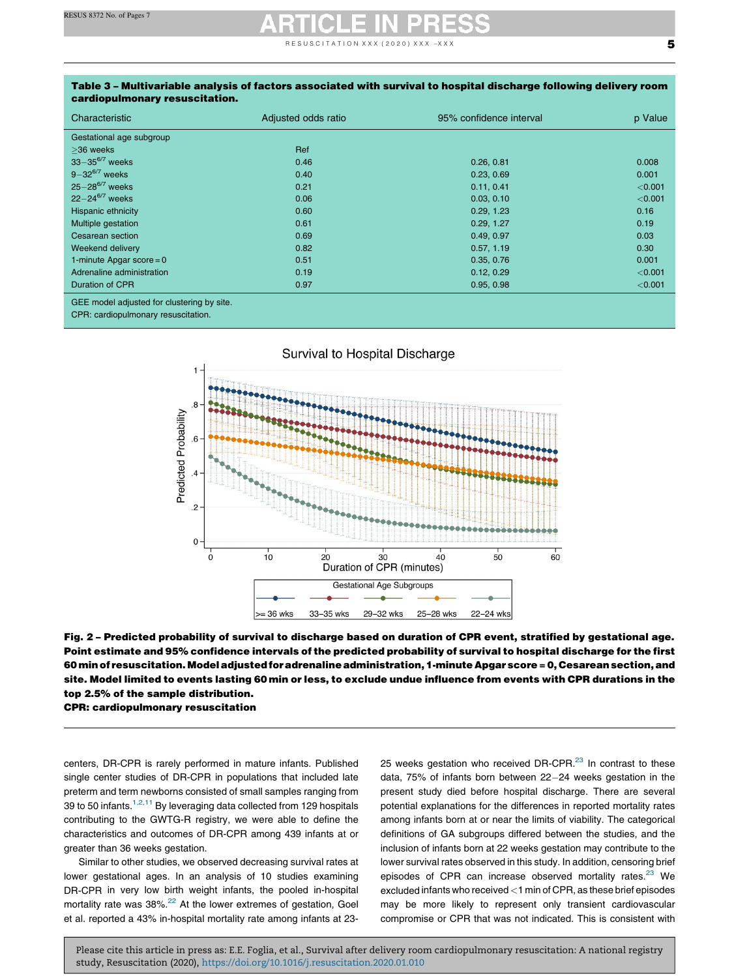R E S U S C I T A T I O N X X X ( 2 0 2 0 ) X X X  $-x$  X X  $\sim$ 

| cardiopulmonary resuscitation.                                                                                                                   |                     |                         |         |  |  |  |
|--------------------------------------------------------------------------------------------------------------------------------------------------|---------------------|-------------------------|---------|--|--|--|
| Characteristic                                                                                                                                   | Adjusted odds ratio | 95% confidence interval | p Value |  |  |  |
| Gestational age subgroup                                                                                                                         |                     |                         |         |  |  |  |
| $>36$ weeks                                                                                                                                      | Ref                 |                         |         |  |  |  |
| $33 - 35^{6/7}$ weeks                                                                                                                            | 0.46                | 0.26, 0.81              | 0.008   |  |  |  |
| $9 - 32^{6/7}$ weeks                                                                                                                             | 0.40                | 0.23, 0.69              | 0.001   |  |  |  |
| $25 - 28^{6/7}$ weeks                                                                                                                            | 0.21                | 0.11, 0.41              | < 0.001 |  |  |  |
| $22 - 24^{6/7}$ weeks                                                                                                                            | 0.06                | 0.03, 0.10              | < 0.001 |  |  |  |
| Hispanic ethnicity                                                                                                                               | 0.60                | 0.29, 1.23              | 0.16    |  |  |  |
| Multiple gestation                                                                                                                               | 0.61                | 0.29, 1.27              | 0.19    |  |  |  |
| Cesarean section                                                                                                                                 | 0.69                | 0.49, 0.97              | 0.03    |  |  |  |
| Weekend delivery                                                                                                                                 | 0.82                | 0.57, 1.19              | 0.30    |  |  |  |
| 1-minute Apgar score = $0$                                                                                                                       | 0.51                | 0.35, 0.76              | 0.001   |  |  |  |
| Adrenaline administration                                                                                                                        | 0.19                | 0.12, 0.29              | < 0.001 |  |  |  |
| Duration of CPR                                                                                                                                  | 0.97                | 0.95, 0.98              | < 0.001 |  |  |  |
| $\overline{a} = \overline{a}$<br>the contract of the contract of the contract of the contract of the contract of the contract of the contract of |                     |                         |         |  |  |  |

GEE model adjusted for clustering by site.

CPR: cardiopulmonary resuscitation.





centers, DR-CPR is rarely performed in mature infants. Published single center studies of DR-CPR in populations that included late preterm and term newborns consisted of small samples ranging from 39 to 50 infants.<sup>1,2,11</sup> By [leveraging](#page-6-0) data collected from 129 hospitals contributing to the GWTG-R registry, we were able to define the characteristics and outcomes of DR-CPR among 439 infants at or greater than 36 weeks gestation.

Similar to other studies, we observed decreasing survival rates at lower gestational ages. In an analysis of 10 studies examining DR-CPR in very low birth weight infants, the pooled in-hospital mortality rate was 38%.<sup>[22](#page-6-0)</sup> At the lower extremes of gestation, Goel et al. reported a 43% in-hospital mortality rate among infants at 2325 weeks gestation who received DR-CPR. $^{23}$  $^{23}$  $^{23}$  In contrast to these data, 75% of infants born between 22-24 weeks gestation in the present study died before hospital discharge. There are several potential explanations for the differences in reported mortality rates among infants born at or near the limits of viability. The categorical definitions of GA subgroups differed between the studies, and the inclusion of infants born at 22 weeks gestation may contribute to the lower survival rates observed in this study. In addition, censoring brief episodes of CPR can increase observed mortality rates.<sup>[23](#page-6-0)</sup> We excluded infants who received <1 min of CPR, as these brief episodes may be more likely to represent only transient cardiovascular compromise or CPR that was not indicated. This is consistent with

<span id="page-4-0"></span>Table 3 – Multivariable analysis of factors associated with survival to hospital discharge following delivery room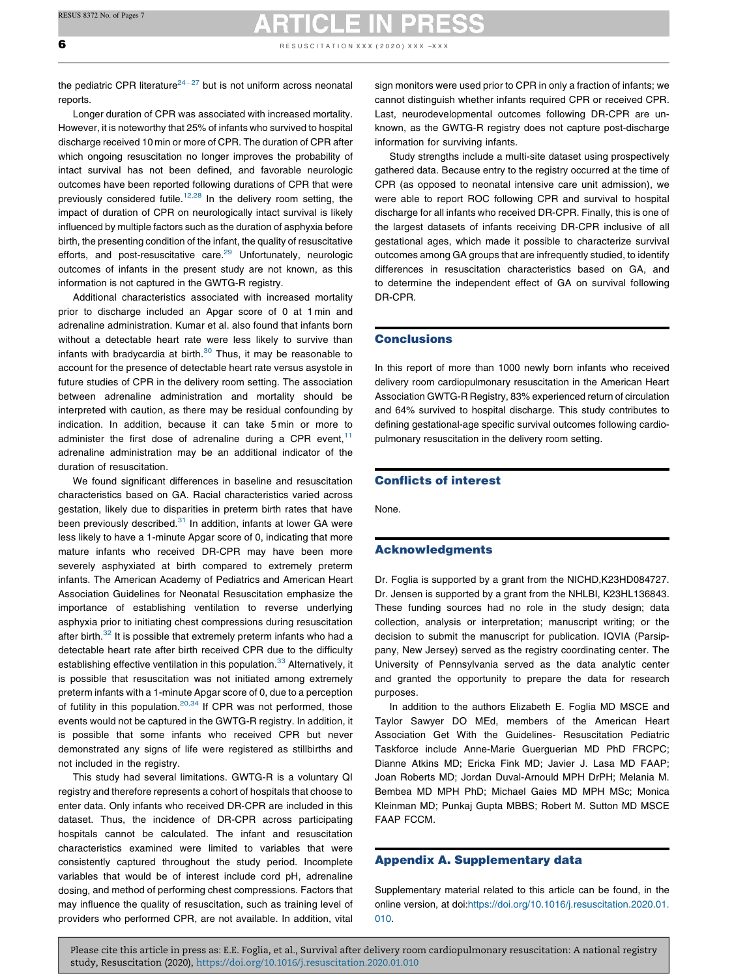**6** RESUSCITATION XXX (2020) XXX -XXX

the pediatric CPR literature $24-27$  but is not uniform across [neonatal](#page-6-0) reports.

Longer duration of CPR was associated with increased mortality. However, it is noteworthy that 25% of infants who survived to hospital discharge received 10 min or more of CPR. The duration of CPR after which ongoing resuscitation no longer improves the probability of intact survival has not been defined, and favorable neurologic outcomes have been reported following durations of CPR that were previously considered futile.<sup>12,28</sup> In the [delivery](#page-6-0) room setting, the impact of duration of CPR on neurologically intact survival is likely influenced by multiple factors such as the duration of asphyxia before birth, the presenting condition of the infant, the quality of resuscitative efforts, and post-resuscitative care.<sup>[29](#page-6-0)</sup> Unfortunately, neurologic outcomes of infants in the present study are not known, as this information is not captured in the GWTG-R registry.

Additional characteristics associated with increased mortality prior to discharge included an Apgar score of 0 at 1 min and adrenaline administration. Kumar et al. also found that infants born without a detectable heart rate were less likely to survive than infants with bradycardia at birth. $30$  Thus, it may be reasonable to account for the presence of detectable heart rate versus asystole in future studies of CPR in the delivery room setting. The association between adrenaline administration and mortality should be interpreted with caution, as there may be residual confounding by indication. In addition, because it can take 5 min or more to administer the first dose of adrenaline during a CPR event,  $11$ adrenaline administration may be an additional indicator of the duration of resuscitation.

We found significant differences in baseline and resuscitation characteristics based on GA. Racial characteristics varied across gestation, likely due to disparities in preterm birth rates that have been previously described.<sup>[31](#page-6-0)</sup> In addition, infants at lower GA were less likely to have a 1-minute Apgar score of 0, indicating that more mature infants who received DR-CPR may have been more severely asphyxiated at birth compared to extremely preterm infants. The American Academy of Pediatrics and American Heart Association Guidelines for Neonatal Resuscitation emphasize the importance of establishing ventilation to reverse underlying asphyxia prior to initiating chest compressions during resuscitation after birth.<sup>[32](#page-6-0)</sup> It is possible that extremely preterm infants who had a detectable heart rate after birth received CPR due to the difficulty establishing effective ventilation in this population.<sup>[33](#page-6-0)</sup> Alternatively, it is possible that resuscitation was not initiated among extremely preterm infants with a 1-minute Apgar score of 0, due to a perception of futility in this population. $20,34$  If CPR was not [performed,](#page-6-0) those events would not be captured in the GWTG-R registry. In addition, it is possible that some infants who received CPR but never demonstrated any signs of life were registered as stillbirths and not included in the registry.

This study had several limitations. GWTG-R is a voluntary QI registry and therefore represents a cohort of hospitals that choose to enter data. Only infants who received DR-CPR are included in this dataset. Thus, the incidence of DR-CPR across participating hospitals cannot be calculated. The infant and resuscitation characteristics examined were limited to variables that were consistently captured throughout the study period. Incomplete variables that would be of interest include cord pH, adrenaline dosing, and method of performing chest compressions. Factors that may influence the quality of resuscitation, such as training level of providers who performed CPR, are not available. In addition, vital

sign monitors were used prior to CPR in only a fraction of infants; we cannot distinguish whether infants required CPR or received CPR. Last, neurodevelopmental outcomes following DR-CPR are unknown, as the GWTG-R registry does not capture post-discharge information for surviving infants.

Study strengths include a multi-site dataset using prospectively gathered data. Because entry to the registry occurred at the time of CPR (as opposed to neonatal intensive care unit admission), we were able to report ROC following CPR and survival to hospital discharge for all infants who received DR-CPR. Finally, this is one of the largest datasets of infants receiving DR-CPR inclusive of all gestational ages, which made it possible to characterize survival outcomes among GA groups that are infrequently studied, to identify differences in resuscitation characteristics based on GA, and to determine the independent effect of GA on survival following DR-CPR.

### **Conclusions**

In this report of more than 1000 newly born infants who received delivery room cardiopulmonary resuscitation in the American Heart Association GWTG-R Registry, 83% experienced return of circulation and 64% survived to hospital discharge. This study contributes to defining gestational-age specific survival outcomes following cardiopulmonary resuscitation in the delivery room setting.

### Conflicts of interest

None.

### Acknowledgments

Dr. Foglia is supported by a grant from the NICHD,K23HD084727. Dr. Jensen is supported by a grant from the NHLBI, K23HL136843. These funding sources had no role in the study design; data collection, analysis or interpretation; manuscript writing; or the decision to submit the manuscript for publication. IQVIA (Parsippany, New Jersey) served as the registry coordinating center. The University of Pennsylvania served as the data analytic center and granted the opportunity to prepare the data for research purposes.

In addition to the authors Elizabeth E. Foglia MD MSCE and Taylor Sawyer DO MEd, members of the American Heart Association Get With the Guidelines- Resuscitation Pediatric Taskforce include Anne-Marie Guerguerian MD PhD FRCPC; Dianne Atkins MD; Ericka Fink MD; Javier J. Lasa MD FAAP; Joan Roberts MD; Jordan Duval-Arnould MPH DrPH; Melania M. Bembea MD MPH PhD; Michael Gaies MD MPH MSc; Monica Kleinman MD; Punkaj Gupta MBBS; Robert M. Sutton MD MSCE FAAP FCCM.

### Appendix A. Supplementary data

Supplementary material related to this article can be found, in the online version, at doi:[https://doi.org/10.1016/j.resuscitation.2020.01.](https://doi.org/10.1016/j.resuscitation.2020.01.010) [010.](https://doi.org/10.1016/j.resuscitation.2020.01.010)